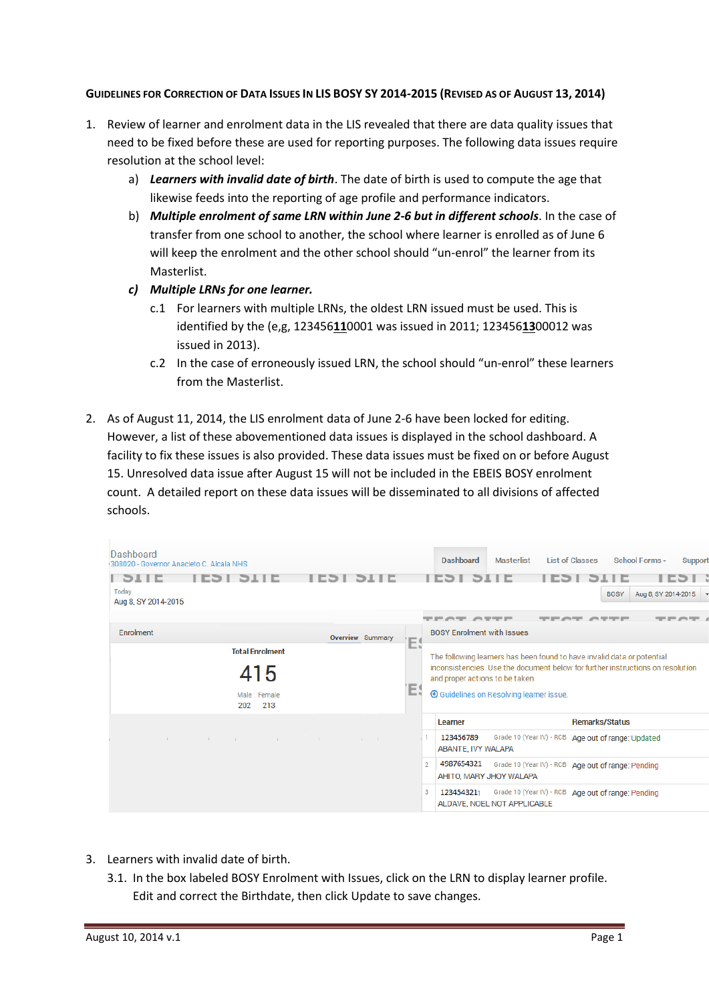## GUIDELINES FOR CORRECTION OF DATA ISSUES IN LIS BOSY SY 2014-2015 (REVISED AS OF AUGUST 13, 2014)

- 1. Review of learner and enrolment data in the LIS revealed that there are data quality issues that need to be fixed before these are used for reporting purposes. The following data issues require resolution at the school level:
	- a) *Learners with invalid date of birth*. The date of birth is used to compute the age that likewise feeds into the reporting of age profile and performance indicators.
	- b) *Multiple enrolment of same LRN within June 2-6 but in different schools*. In the case of transfer from one school to another, the school where learner is enrolled as of June 6 will keep the enrolment and the other school should "un-enrol" the learner from its Masterlist.
	- *c) Multiple LRNs for one learner.* 
		- c.1 For learners with multiple LRNs, the oldest LRN issued must be used. This is identified by the (e,g, 123456**11**0001 was issued in 2011; 123456**13**00012 was issued in 2013).
		- c.2 In the case of erroneously issued LRN, the school should "un-enrol" these learners from the Masterlist.
- 2. As of August 11, 2014, the LIS enrolment data of June 2-6 have been locked for editing. However, a list of these abovementioned data issues is displayed in the school dashboard. A facility to fix these issues is also provided. These data issues must be fixed on or before August 15. Unresolved data issue after August 15 will not be included in the EBEIS BOSY enrolment count. A detailed report on these data issues will be disseminated to all divisions of affected schools.

| Dashboard<br>308020 - Governor Anacleto C. Alcala NHS<br>1 E<br>Today<br>Aug 8, SY 2014-2015 |                               | <b>Dashboard</b><br><b>List of Classes</b><br>School Forms -<br><b>Masterlist</b><br><b>Support</b><br>Aug 8, SY 2014-2015<br><b>BOSY</b>                                                                                                       |  |  |
|----------------------------------------------------------------------------------------------|-------------------------------|-------------------------------------------------------------------------------------------------------------------------------------------------------------------------------------------------------------------------------------------------|--|--|
| Enrolment                                                                                    | <b>Overview Summary</b><br>E. | TEAT ATTE<br>TEAT ATTE<br>----<br><b>BOSY Enrolment with Issues</b>                                                                                                                                                                             |  |  |
| <b>Total Enrolment</b><br>415<br>Male Female<br>213<br>202                                   | E\$                           | The following learners has been found to have invalid data or potential<br>inconsistencies. Use the document below for further instructions on resolution<br>and proper actions to be taken.<br><b>4</b> Guidelines on Resolving learner issue. |  |  |
|                                                                                              |                               | <b>Remarks/Status</b><br>Learner                                                                                                                                                                                                                |  |  |
| $\sim$                                                                                       |                               | Grade 10 (Year IV) - RCB Age out of range: Updated<br>123456789<br>ABANTE, IVY WALAPA                                                                                                                                                           |  |  |
|                                                                                              |                               | 4987654321<br>$\overline{2}$<br>Grade 10 (Year IV) - RCB Age out of range: Pending<br>AHITO, MARY JHOY WALAPA                                                                                                                                   |  |  |
|                                                                                              |                               | Grade 10 (Year IV) - RCB Age out of range: Pending<br>3<br>1234543211<br>ALDAVE, NOEL NOT APPLICABLE                                                                                                                                            |  |  |
|                                                                                              |                               |                                                                                                                                                                                                                                                 |  |  |

- 3. Learners with invalid date of birth.
	- 3.1. In the box labeled BOSY Enrolment with Issues, click on the LRN to display learner profile. Edit and correct the Birthdate, then click Update to save changes.